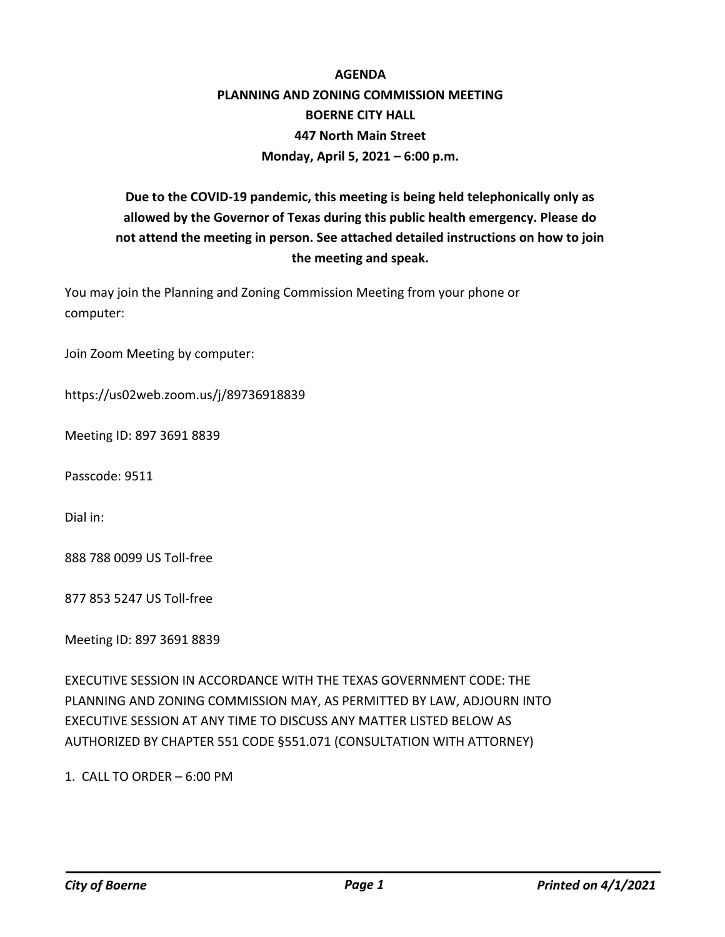## **AGENDA PLANNING AND ZONING COMMISSION MEETING BOERNE CITY HALL 447 North Main Street Monday, April 5, 2021 – 6:00 p.m.**

## **Due to the COVID-19 pandemic, this meeting is being held telephonically only as allowed by the Governor of Texas during this public health emergency. Please do not attend the meeting in person. See attached detailed instructions on how to join the meeting and speak.**

You may join the Planning and Zoning Commission Meeting from your phone or computer:

Join Zoom Meeting by computer:

https://us02web.zoom.us/j/89736918839

Meeting ID: 897 3691 8839

Passcode: 9511

Dial in:

888 788 0099 US Toll-free

877 853 5247 US Toll-free

Meeting ID: 897 3691 8839

EXECUTIVE SESSION IN ACCORDANCE WITH THE TEXAS GOVERNMENT CODE: THE PLANNING AND ZONING COMMISSION MAY, AS PERMITTED BY LAW, ADJOURN INTO EXECUTIVE SESSION AT ANY TIME TO DISCUSS ANY MATTER LISTED BELOW AS AUTHORIZED BY CHAPTER 551 CODE §551.071 (CONSULTATION WITH ATTORNEY)

1. CALL TO ORDER – 6:00 PM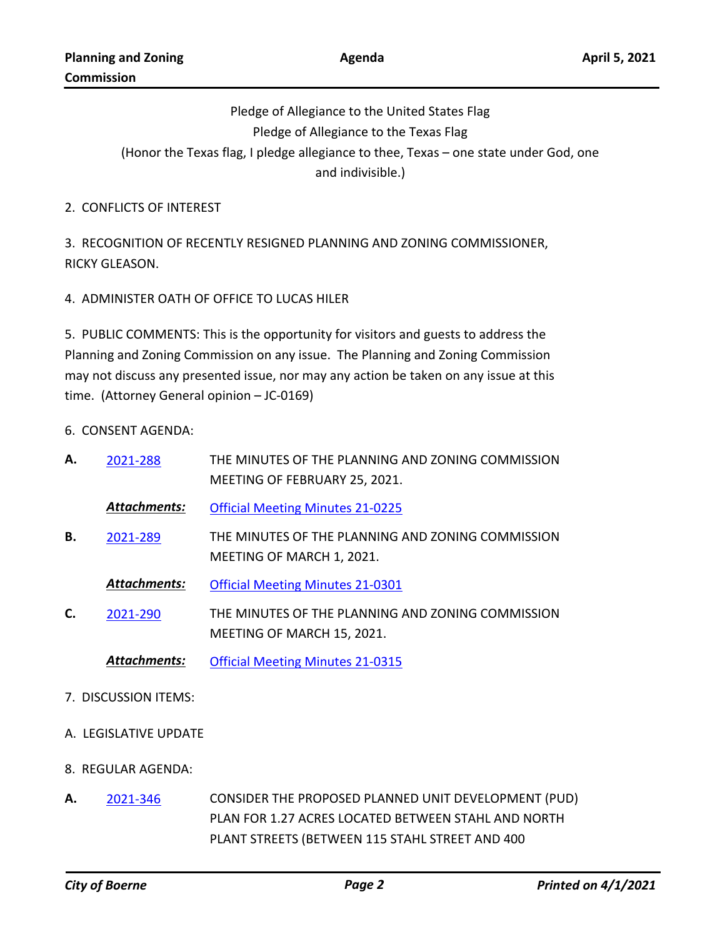Pledge of Allegiance to the United States Flag Pledge of Allegiance to the Texas Flag (Honor the Texas flag, I pledge allegiance to thee, Texas – one state under God, one and indivisible.)

2. CONFLICTS OF INTEREST

3. RECOGNITION OF RECENTLY RESIGNED PLANNING AND ZONING COMMISSIONER, RICKY GLEASON.

4. ADMINISTER OATH OF OFFICE TO LUCAS HILER

5. PUBLIC COMMENTS: This is the opportunity for visitors and guests to address the Planning and Zoning Commission on any issue. The Planning and Zoning Commission may not discuss any presented issue, nor may any action be taken on any issue at this time. (Attorney General opinion – JC-0169)

6. CONSENT AGENDA:

| А. | 2021-288            | THE MINUTES OF THE PLANNING AND ZONING COMMISSION<br>MEETING OF FEBRUARY 25, 2021. |
|----|---------------------|------------------------------------------------------------------------------------|
|    | <b>Attachments:</b> | <b>Official Meeting Minutes 21-0225</b>                                            |
| В. | 2021-289            | THE MINUTES OF THE PLANNING AND ZONING COMMISSION<br>MEETING OF MARCH 1, 2021.     |
|    | <b>Attachments:</b> | <b>Official Meeting Minutes 21-0301</b>                                            |
| C. | 2021-290            | THE MINUTES OF THE PLANNING AND ZONING COMMISSION<br>MEETING OF MARCH 15, 2021.    |
|    | <b>Attachments:</b> | <b>Official Meeting Minutes 21-0315</b>                                            |

- 7. DISCUSSION ITEMS:
- A. LEGISLATIVE UPDATE
- 8. REGULAR AGENDA:
- CONSIDER THE PROPOSED PLANNED UNIT DEVELOPMENT (PUD) PLAN FOR 1.27 ACRES LOCATED BETWEEN STAHL AND NORTH PLANT STREETS (BETWEEN 115 STAHL STREET AND 400 **A.** [2021-346](http://boerne.legistar.com/gateway.aspx?m=l&id=/matter.aspx?key=5859)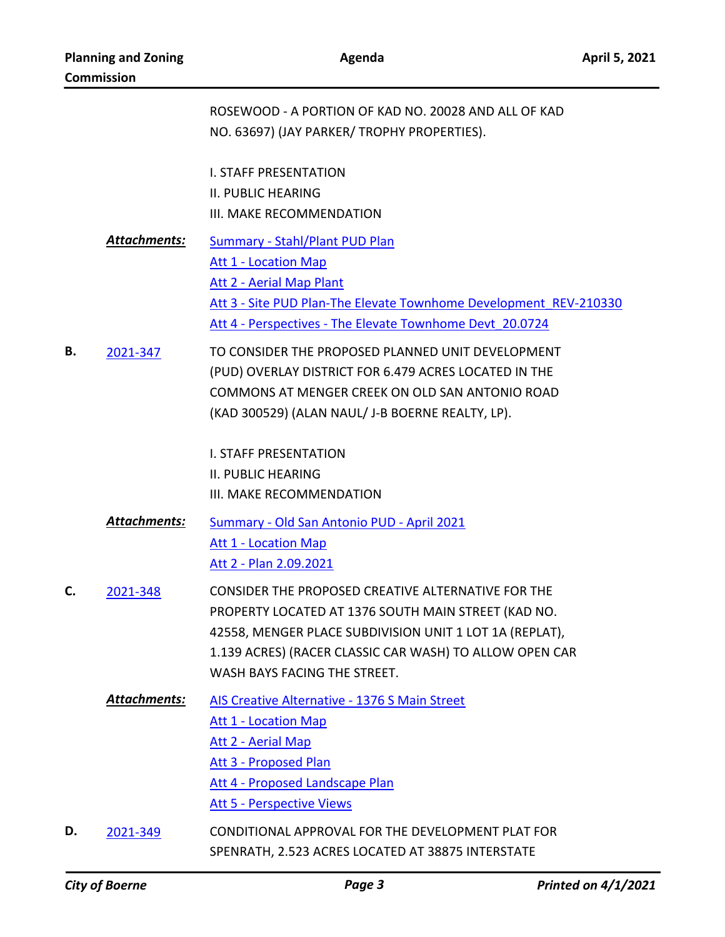|    |                     | ROSEWOOD - A PORTION OF KAD NO. 20028 AND ALL OF KAD<br>NO. 63697) (JAY PARKER/ TROPHY PROPERTIES).                                                                                                                                                             |
|----|---------------------|-----------------------------------------------------------------------------------------------------------------------------------------------------------------------------------------------------------------------------------------------------------------|
|    |                     | <b>I. STAFF PRESENTATION</b><br><b>II. PUBLIC HEARING</b><br>III. MAKE RECOMMENDATION                                                                                                                                                                           |
|    | <b>Attachments:</b> | <b>Summary - Stahl/Plant PUD Plan</b><br><b>Att 1 - Location Map</b><br>Att 2 - Aerial Map Plant<br>Att 3 - Site PUD Plan-The Elevate Townhome Development REV-210330<br>Att 4 - Perspectives - The Elevate Townhome Devt 20.0724                               |
| В. | 2021-347            | TO CONSIDER THE PROPOSED PLANNED UNIT DEVELOPMENT<br>(PUD) OVERLAY DISTRICT FOR 6.479 ACRES LOCATED IN THE<br>COMMONS AT MENGER CREEK ON OLD SAN ANTONIO ROAD<br>(KAD 300529) (ALAN NAUL/ J-B BOERNE REALTY, LP).                                               |
|    |                     | <b>I. STAFF PRESENTATION</b><br><b>II. PUBLIC HEARING</b><br>III. MAKE RECOMMENDATION                                                                                                                                                                           |
|    | <b>Attachments:</b> | Summary - Old San Antonio PUD - April 2021<br><b>Att 1 - Location Map</b><br>Att 2 - Plan 2.09.2021                                                                                                                                                             |
| C. | 2021-348            | CONSIDER THE PROPOSED CREATIVE ALTERNATIVE FOR THE<br>PROPERTY LOCATED AT 1376 SOUTH MAIN STREET (KAD NO.<br>42558, MENGER PLACE SUBDIVISION UNIT 1 LOT 1A (REPLAT),<br>1.139 ACRES) (RACER CLASSIC CAR WASH) TO ALLOW OPEN CAR<br>WASH BAYS FACING THE STREET. |
|    | Attachments:        | AIS Creative Alternative - 1376 S Main Street<br><b>Att 1 - Location Map</b><br>Att 2 - Aerial Map<br>Att 3 - Proposed Plan<br>Att 4 - Proposed Landscape Plan<br><b>Att 5 - Perspective Views</b>                                                              |
| D. | 2021-349            | CONDITIONAL APPROVAL FOR THE DEVELOPMENT PLAT FOR<br>SPENRATH, 2.523 ACRES LOCATED AT 38875 INTERSTATE                                                                                                                                                          |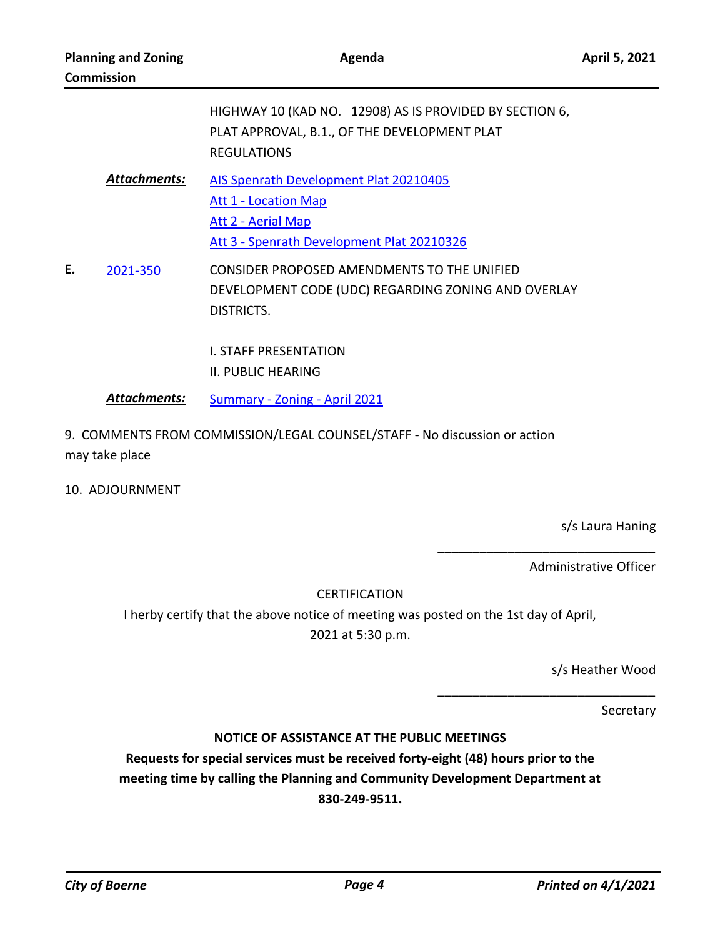|    |                     | HIGHWAY 10 (KAD NO. 12908) AS IS PROVIDED BY SECTION 6,<br>PLAT APPROVAL, B.1., OF THE DEVELOPMENT PLAT<br><b>REGULATIONS</b>             |
|----|---------------------|-------------------------------------------------------------------------------------------------------------------------------------------|
|    | <b>Attachments:</b> | AIS Spenrath Development Plat 20210405<br><b>Att 1 - Location Map</b><br>Att 2 - Aerial Map<br>Att 3 - Spenrath Development Plat 20210326 |
| E. | 2021-350            | CONSIDER PROPOSED AMENDMENTS TO THE UNIFIED<br>DEVELOPMENT CODE (UDC) REGARDING ZONING AND OVERLAY<br>DISTRICTS.                          |
|    |                     | L STAFF PRESENTATION<br>II. PUBLIC HEARING                                                                                                |

- *Attachments:* [Summary Zoning April 2021](http://boerne.legistar.com/gateway.aspx?M=F&ID=21ea72f7-94d3-41d8-b10c-ac84e7a742cd.doc)
- 9. COMMENTS FROM COMMISSION/LEGAL COUNSEL/STAFF No discussion or action may take place
- 10. ADJOURNMENT

s/s Laura Haning

Administrative Officer

\_\_\_\_\_\_\_\_\_\_\_\_\_\_\_\_\_\_\_\_\_\_\_\_\_\_\_\_\_\_\_

\_\_\_\_\_\_\_\_\_\_\_\_\_\_\_\_\_\_\_\_\_\_\_\_\_\_\_\_\_\_\_

## CERTIFICATION

I herby certify that the above notice of meeting was posted on the 1st day of April, 2021 at 5:30 p.m.

s/s Heather Wood

Secretary

## **NOTICE OF ASSISTANCE AT THE PUBLIC MEETINGS**

**Requests for special services must be received forty-eight (48) hours prior to the meeting time by calling the Planning and Community Development Department at 830-249-9511.**